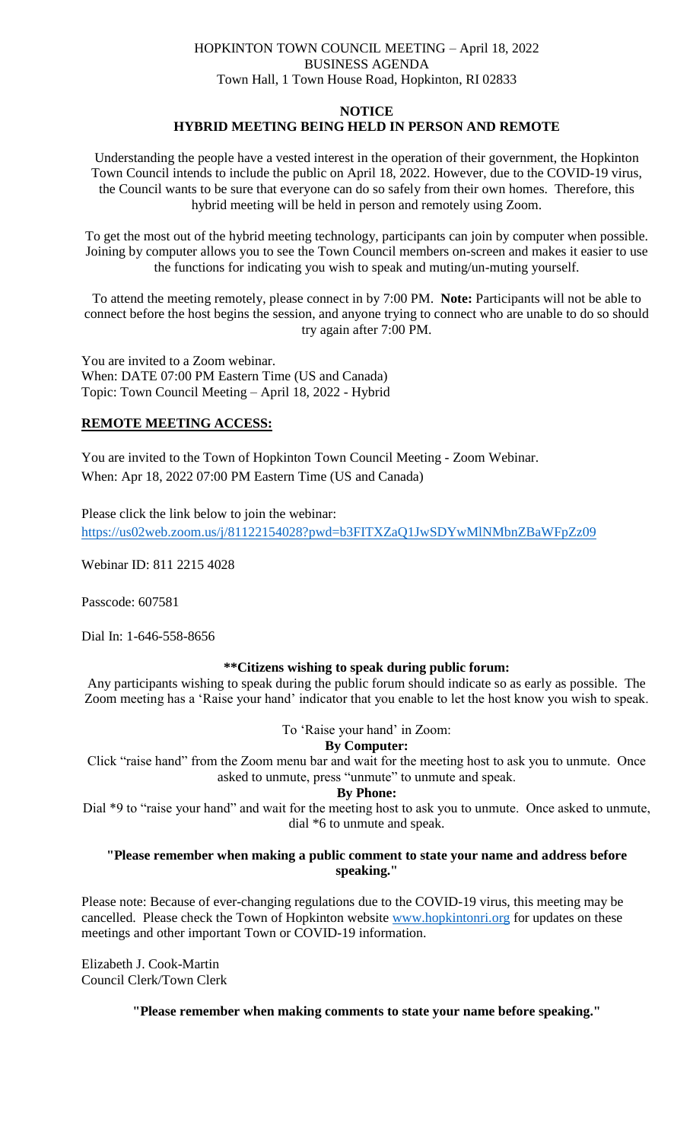# HOPKINTON TOWN COUNCIL MEETING – April 18, 2022 BUSINESS AGENDA Town Hall, 1 Town House Road, Hopkinton, RI 02833

# **NOTICE HYBRID MEETING BEING HELD IN PERSON AND REMOTE**

Understanding the people have a vested interest in the operation of their government, the Hopkinton Town Council intends to include the public on April 18, 2022. However, due to the COVID-19 virus, the Council wants to be sure that everyone can do so safely from their own homes. Therefore, this hybrid meeting will be held in person and remotely using Zoom.

To get the most out of the hybrid meeting technology, participants can join by computer when possible. Joining by computer allows you to see the Town Council members on-screen and makes it easier to use the functions for indicating you wish to speak and muting/un-muting yourself.

To attend the meeting remotely, please connect in by 7:00 PM. **Note:** Participants will not be able to connect before the host begins the session, and anyone trying to connect who are unable to do so should try again after 7:00 PM.

You are invited to a Zoom webinar. When: DATE 07:00 PM Eastern Time (US and Canada) Topic: Town Council Meeting – April 18, 2022 - Hybrid

# **REMOTE MEETING ACCESS:**

You are invited to the Town of Hopkinton Town Council Meeting - Zoom Webinar. When: Apr 18, 2022 07:00 PM Eastern Time (US and Canada)

Please click the link below to join the webinar: <https://us02web.zoom.us/j/81122154028?pwd=b3FITXZaQ1JwSDYwMlNMbnZBaWFpZz09>

Webinar ID: 811 2215 4028

Passcode: 607581

Dial In: 1-646-558-8656

# **\*\*Citizens wishing to speak during public forum:**

Any participants wishing to speak during the public forum should indicate so as early as possible. The Zoom meeting has a 'Raise your hand' indicator that you enable to let the host know you wish to speak.

To 'Raise your hand' in Zoom:

# **By Computer:**

Click "raise hand" from the Zoom menu bar and wait for the meeting host to ask you to unmute. Once asked to unmute, press "unmute" to unmute and speak.

# **By Phone:**

Dial \*9 to "raise your hand" and wait for the meeting host to ask you to unmute. Once asked to unmute, dial \*6 to unmute and speak.

# **"Please remember when making a public comment to state your name and address before speaking."**

Please note: Because of ever-changing regulations due to the COVID-19 virus, this meeting may be cancelled. Please check the Town of Hopkinton website [www.hopkintonri.org](http://www.hopkintonri.org/) for updates on these meetings and other important Town or COVID-19 information.

Elizabeth J. Cook-Martin Council Clerk/Town Clerk

**"Please remember when making comments to state your name before speaking."**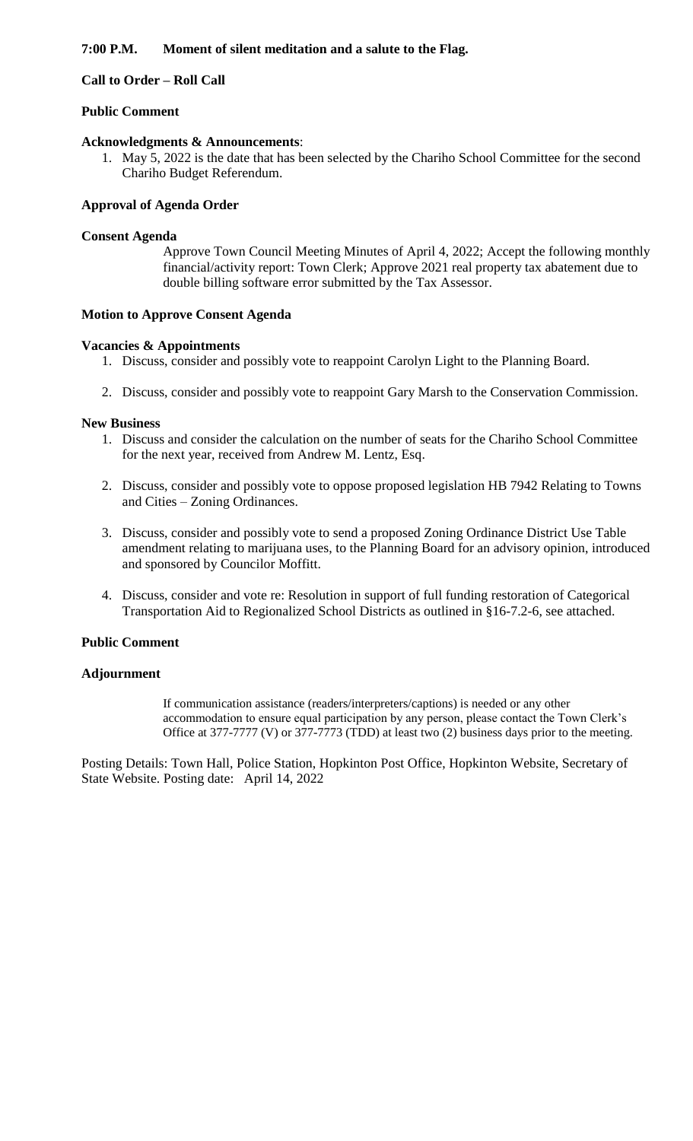# **7:00 P.M. Moment of silent meditation and a salute to the Flag.**

# **Call to Order – Roll Call**

# **Public Comment**

### **Acknowledgments & Announcements**:

1. May 5, 2022 is the date that has been selected by the Chariho School Committee for the second Chariho Budget Referendum.

### **Approval of Agenda Order**

#### **Consent Agenda**

Approve Town Council Meeting Minutes of April 4, 2022; Accept the following monthly financial/activity report: Town Clerk; Approve 2021 real property tax abatement due to double billing software error submitted by the Tax Assessor.

#### **Motion to Approve Consent Agenda**

#### **Vacancies & Appointments**

- 1. Discuss, consider and possibly vote to reappoint Carolyn Light to the Planning Board.
- 2. Discuss, consider and possibly vote to reappoint Gary Marsh to the Conservation Commission.

#### **New Business**

- 1. Discuss and consider the calculation on the number of seats for the Chariho School Committee for the next year, received from Andrew M. Lentz, Esq.
- 2. Discuss, consider and possibly vote to oppose proposed legislation HB 7942 Relating to Towns and Cities – Zoning Ordinances.
- 3. Discuss, consider and possibly vote to send a proposed Zoning Ordinance District Use Table amendment relating to marijuana uses, to the Planning Board for an advisory opinion, introduced and sponsored by Councilor Moffitt.
- 4. Discuss, consider and vote re: Resolution in support of full funding restoration of Categorical Transportation Aid to Regionalized School Districts as outlined in §16-7.2-6, see attached.

# **Public Comment**

# **Adjournment**

If communication assistance (readers/interpreters/captions) is needed or any other accommodation to ensure equal participation by any person, please contact the Town Clerk's Office at 377-7777 (V) or 377-7773 (TDD) at least two (2) business days prior to the meeting.

Posting Details: Town Hall, Police Station, Hopkinton Post Office, Hopkinton Website, Secretary of State Website. Posting date: April 14, 2022